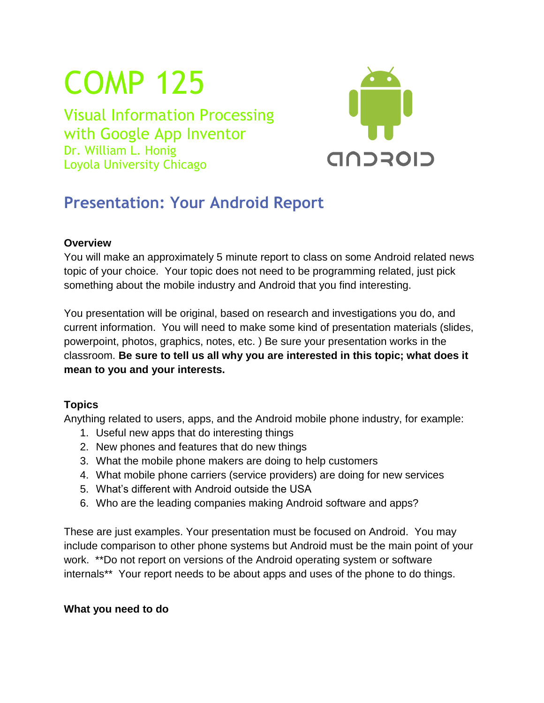# COMP 125

Visual Information Processing with Google App Inventor Dr. William L. Honig Loyola University Chicago



## **Presentation: Your Android Report**

#### **Overview**

You will make an approximately 5 minute report to class on some Android related news topic of your choice. Your topic does not need to be programming related, just pick something about the mobile industry and Android that you find interesting.

You presentation will be original, based on research and investigations you do, and current information. You will need to make some kind of presentation materials (slides, powerpoint, photos, graphics, notes, etc. ) Be sure your presentation works in the classroom. **Be sure to tell us all why you are interested in this topic; what does it mean to you and your interests.**

#### **Topics**

Anything related to users, apps, and the Android mobile phone industry, for example:

- 1. Useful new apps that do interesting things
- 2. New phones and features that do new things
- 3. What the mobile phone makers are doing to help customers
- 4. What mobile phone carriers (service providers) are doing for new services
- 5. What's different with Android outside the USA
- 6. Who are the leading companies making Android software and apps?

These are just examples. Your presentation must be focused on Android. You may include comparison to other phone systems but Android must be the main point of your work. \*\*Do not report on versions of the Android operating system or software internals\*\* Your report needs to be about apps and uses of the phone to do things.

#### **What you need to do**